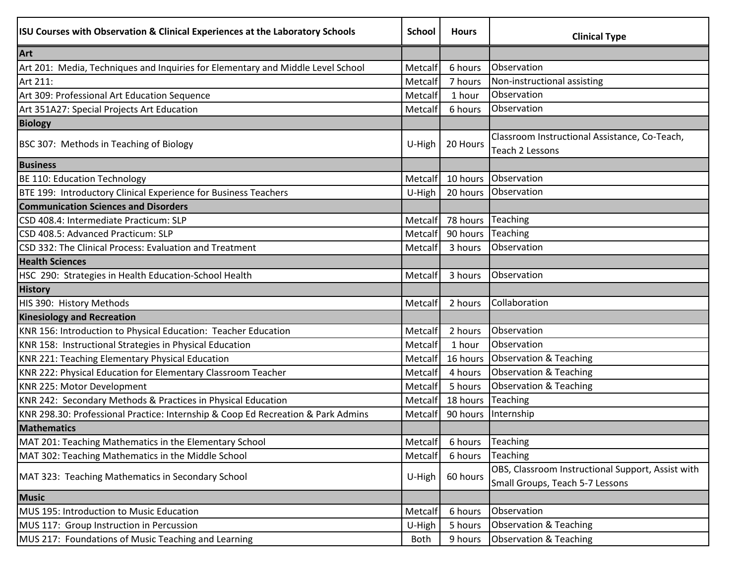| ISU Courses with Observation & Clinical Experiences at the Laboratory Schools    | <b>School</b>  | <b>Hours</b> | <b>Clinical Type</b>                                             |
|----------------------------------------------------------------------------------|----------------|--------------|------------------------------------------------------------------|
| Art                                                                              |                |              |                                                                  |
| Art 201: Media, Techniques and Inquiries for Elementary and Middle Level School  | Metcalf        | 6 hours      | Observation                                                      |
| Art 211:                                                                         | Metcalf        | 7 hours      | Non-instructional assisting                                      |
| Art 309: Professional Art Education Sequence                                     | Metcalf        | 1 hour       | Observation                                                      |
| Art 351A27: Special Projects Art Education                                       | Metcalf        | 6 hours      | Observation                                                      |
| <b>Biology</b>                                                                   |                |              |                                                                  |
| BSC 307: Methods in Teaching of Biology                                          | U-High         | 20 Hours     | Classroom Instructional Assistance, Co-Teach,<br>Teach 2 Lessons |
| <b>Business</b>                                                                  |                |              |                                                                  |
| BE 110: Education Technology                                                     | Metcalf        | 10 hours     | Observation                                                      |
| BTE 199: Introductory Clinical Experience for Business Teachers                  | U-High         |              | 20 hours Observation                                             |
| <b>Communication Sciences and Disorders</b>                                      |                |              |                                                                  |
| CSD 408.4: Intermediate Practicum: SLP                                           | Metcalf        | 78 hours     | Teaching                                                         |
| CSD 408.5: Advanced Practicum: SLP                                               | Metcalf        | 90 hours     | Teaching                                                         |
| CSD 332: The Clinical Process: Evaluation and Treatment                          | Metcalf        | 3 hours      | Observation                                                      |
| <b>Health Sciences</b>                                                           |                |              |                                                                  |
| HSC 290: Strategies in Health Education-School Health                            | Metcalf        | 3 hours      | Observation                                                      |
| <b>History</b>                                                                   |                |              |                                                                  |
| HIS 390: History Methods                                                         | Metcalf        | 2 hours      | Collaboration                                                    |
| <b>Kinesiology and Recreation</b>                                                |                |              |                                                                  |
| KNR 156: Introduction to Physical Education: Teacher Education                   | Metcalf        | 2 hours      | Observation                                                      |
| KNR 158: Instructional Strategies in Physical Education                          | Metcalf        | 1 hour       | Observation                                                      |
| KNR 221: Teaching Elementary Physical Education                                  | <b>Metcalf</b> | 16 hours     | <b>Observation &amp; Teaching</b>                                |
| KNR 222: Physical Education for Elementary Classroom Teacher                     | Metcalf        | 4 hours      | Observation & Teaching                                           |
| KNR 225: Motor Development                                                       | Metcalf        | 5 hours      | <b>Observation &amp; Teaching</b>                                |
| KNR 242: Secondary Methods & Practices in Physical Education                     | Metcalf        | 18 hours     | Teaching                                                         |
| KNR 298.30: Professional Practice: Internship & Coop Ed Recreation & Park Admins | Metcalf        | 90 hours     | Internship                                                       |
| <b>Mathematics</b>                                                               |                |              |                                                                  |
| MAT 201: Teaching Mathematics in the Elementary School                           | Metcalf        | 6 hours      | Teaching                                                         |
| MAT 302: Teaching Mathematics in the Middle School                               | Metcalf        | 6 hours      | Teaching                                                         |
| MAT 323: Teaching Mathematics in Secondary School                                | U-High         | 60 hours     | OBS, Classroom Instructional Support, Assist with                |
|                                                                                  |                |              | Small Groups, Teach 5-7 Lessons                                  |
| <b>Music</b>                                                                     |                |              |                                                                  |
| MUS 195: Introduction to Music Education                                         | Metcalf        | 6 hours      | Observation                                                      |
| MUS 117: Group Instruction in Percussion                                         | U-High         | 5 hours      | <b>Observation &amp; Teaching</b>                                |
| MUS 217: Foundations of Music Teaching and Learning                              | Both           | 9 hours      | <b>Observation &amp; Teaching</b>                                |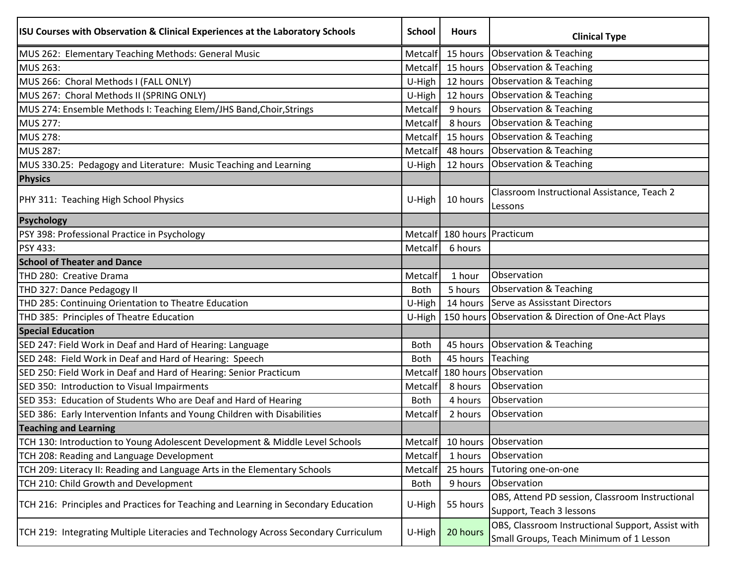| <b>ISU Courses with Observation &amp; Clinical Experiences at the Laboratory Schools</b> | <b>School</b> | <b>Hours</b>                    | <b>Clinical Type</b>                                                                         |
|------------------------------------------------------------------------------------------|---------------|---------------------------------|----------------------------------------------------------------------------------------------|
| MUS 262: Elementary Teaching Methods: General Music                                      | Metcalf       | 15 hours                        | <b>Observation &amp; Teaching</b>                                                            |
| <b>MUS 263:</b>                                                                          | Metcalf       | 15 hours                        | Observation & Teaching                                                                       |
| MUS 266: Choral Methods I (FALL ONLY)                                                    | U-High        |                                 | 12 hours Observation & Teaching                                                              |
| MUS 267: Choral Methods II (SPRING ONLY)                                                 | U-High        | 12 hours                        | Observation & Teaching                                                                       |
| MUS 274: Ensemble Methods I: Teaching Elem/JHS Band, Choir, Strings                      | Metcalf       | 9 hours                         | Observation & Teaching                                                                       |
| <b>MUS 277:</b>                                                                          | Metcalf       | 8 hours                         | <b>Observation &amp; Teaching</b>                                                            |
| <b>MUS 278:</b>                                                                          | Metcalf       |                                 | 15 hours Observation & Teaching                                                              |
| MUS 287:                                                                                 | Metcalf       |                                 | 48 hours Observation & Teaching                                                              |
| MUS 330.25: Pedagogy and Literature: Music Teaching and Learning                         | U-High        |                                 | 12 hours Observation & Teaching                                                              |
| Physics                                                                                  |               |                                 |                                                                                              |
| PHY 311: Teaching High School Physics                                                    | U-High        | 10 hours                        | Classroom Instructional Assistance, Teach 2<br>Lessons                                       |
| Psychology                                                                               |               |                                 |                                                                                              |
| PSY 398: Professional Practice in Psychology                                             |               | Metcalf   180 hours   Practicum |                                                                                              |
| PSY 433:                                                                                 | Metcalf       | 6 hours                         |                                                                                              |
| <b>School of Theater and Dance</b>                                                       |               |                                 |                                                                                              |
| THD 280: Creative Drama                                                                  | Metcalf       | 1 hour                          | Observation                                                                                  |
| THD 327: Dance Pedagogy II                                                               | <b>Both</b>   | 5 hours                         | Observation & Teaching                                                                       |
| THD 285: Continuing Orientation to Theatre Education                                     | U-High        |                                 | 14 hours Serve as Assisstant Directors                                                       |
| THD 385: Principles of Theatre Education                                                 | U-High        |                                 | 150 hours Observation & Direction of One-Act Plays                                           |
| <b>Special Education</b>                                                                 |               |                                 |                                                                                              |
| SED 247: Field Work in Deaf and Hard of Hearing: Language                                | <b>Both</b>   |                                 | 45 hours Observation & Teaching                                                              |
| SED 248: Field Work in Deaf and Hard of Hearing: Speech                                  | <b>Both</b>   | 45 hours                        | Teaching                                                                                     |
| SED 250: Field Work in Deaf and Hard of Hearing: Senior Practicum                        | Metcalf       |                                 | 180 hours Observation                                                                        |
| SED 350: Introduction to Visual Impairments                                              | Metcalf       | 8 hours                         | Observation                                                                                  |
| SED 353: Education of Students Who are Deaf and Hard of Hearing                          | <b>Both</b>   | 4 hours                         | Observation                                                                                  |
| SED 386: Early Intervention Infants and Young Children with Disabilities                 | Metcalf       | 2 hours                         | Observation                                                                                  |
| <b>Teaching and Learning</b>                                                             |               |                                 |                                                                                              |
| TCH 130: Introduction to Young Adolescent Development & Middle Level Schools             | Metcalf       | 10 hours                        | <b>Observation</b>                                                                           |
| TCH 208: Reading and Language Development                                                | Metcalf       | 1 hours                         | Observation                                                                                  |
| TCH 209: Literacy II: Reading and Language Arts in the Elementary Schools                | Metcalf       | 25 hours                        | Tutoring one-on-one                                                                          |
| TCH 210: Child Growth and Development                                                    | <b>Both</b>   | 9 hours                         | Observation                                                                                  |
| TCH 216: Principles and Practices for Teaching and Learning in Secondary Education       | U-High        | 55 hours                        | OBS, Attend PD session, Classroom Instructional<br>Support, Teach 3 lessons                  |
| TCH 219: Integrating Multiple Literacies and Technology Across Secondary Curriculum      | U-High        | 20 hours                        | OBS, Classroom Instructional Support, Assist with<br>Small Groups, Teach Minimum of 1 Lesson |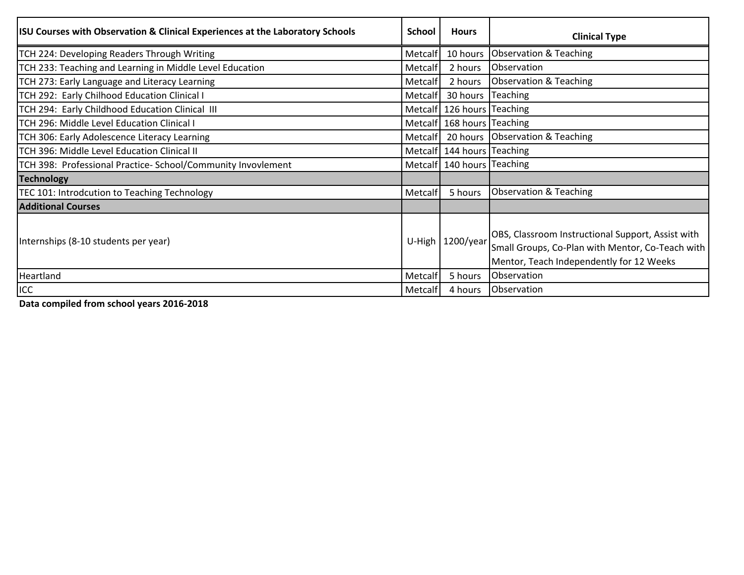| <b>ISU Courses with Observation &amp; Clinical Experiences at the Laboratory Schools</b> | School         | <b>Hours</b>                   | <b>Clinical Type</b>                                                                                                                              |
|------------------------------------------------------------------------------------------|----------------|--------------------------------|---------------------------------------------------------------------------------------------------------------------------------------------------|
| TCH 224: Developing Readers Through Writing                                              | Metcalf        |                                | 10 hours Observation & Teaching                                                                                                                   |
| TCH 233: Teaching and Learning in Middle Level Education                                 | Metcalf        | 2 hours                        | Observation                                                                                                                                       |
| TCH 273: Early Language and Literacy Learning                                            | Metcalf        | 2 hours                        | Observation & Teaching                                                                                                                            |
| TCH 292: Early Chilhood Education Clinical I                                             | <b>Metcalf</b> | 30 hours Teaching              |                                                                                                                                                   |
| TCH 294: Early Childhood Education Clinical III                                          |                | Metcalf   126 hours   Teaching |                                                                                                                                                   |
| TCH 296: Middle Level Education Clinical I                                               |                | Metcalf 168 hours Teaching     |                                                                                                                                                   |
| TCH 306: Early Adolescence Literacy Learning                                             | Metcalf        |                                | 20 hours Observation & Teaching                                                                                                                   |
| TCH 396: Middle Level Education Clinical II                                              |                | Metcalf   144 hours   Teaching |                                                                                                                                                   |
| TCH 398: Professional Practice- School/Community Invovlement                             |                | Metcalf 140 hours Teaching     |                                                                                                                                                   |
| <b>Technology</b>                                                                        |                |                                |                                                                                                                                                   |
| TEC 101: Introdcution to Teaching Technology                                             | Metcalf        | 5 hours                        | <b>Observation &amp; Teaching</b>                                                                                                                 |
| <b>Additional Courses</b>                                                                |                |                                |                                                                                                                                                   |
| Internships (8-10 students per year)                                                     | U-High         | $1200$ /year                   | OBS, Classroom Instructional Support, Assist with<br>Small Groups, Co-Plan with Mentor, Co-Teach with<br>Mentor, Teach Independently for 12 Weeks |
| Heartland                                                                                | Metcalf        | 5 hours                        | Observation                                                                                                                                       |
| ICC                                                                                      | Metcalf        | 4 hours                        | Observation                                                                                                                                       |

**Data compiled from school years 2016-2018**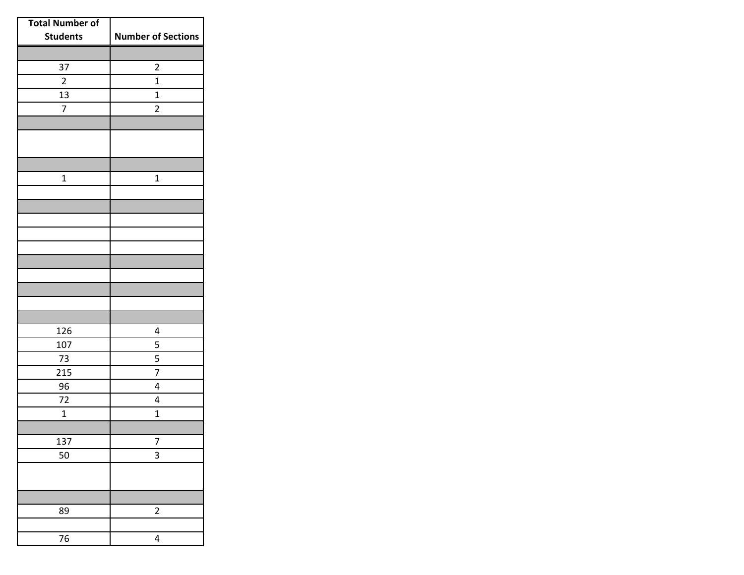| <b>Total Number of</b> |                           |
|------------------------|---------------------------|
| <b>Students</b>        | <b>Number of Sections</b> |
|                        |                           |
| 37                     | $\overline{\mathbf{c}}$   |
| $\overline{2}$         | $\overline{1}$            |
| 13                     | $\mathbf{1}$              |
| $\overline{7}$         | $\overline{2}$            |
|                        |                           |
|                        |                           |
|                        |                           |
| $\mathbf{1}$           | $\mathbf{1}$              |
|                        |                           |
|                        |                           |
|                        |                           |
|                        |                           |
|                        |                           |
|                        |                           |
|                        |                           |
|                        |                           |
|                        |                           |
|                        |                           |
| 126                    | 4                         |
| 107                    | 5                         |
| 73                     | 5                         |
| 215                    | 7                         |
| 96                     | 4                         |
| 72                     | 4                         |
| $\mathbf 1$            | $\overline{1}$            |
|                        |                           |
| 137                    | 7<br>3                    |
| 50                     |                           |
|                        |                           |
|                        |                           |
| 89                     | $\overline{\mathbf{c}}$   |
|                        |                           |
| $\overline{76}$        | 4                         |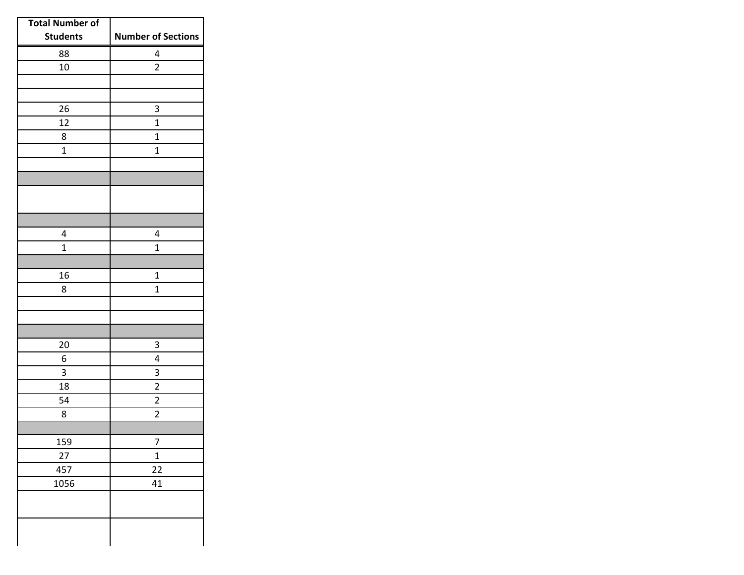| <b>Total Number of</b> |                           |
|------------------------|---------------------------|
| <b>Students</b>        | <b>Number of Sections</b> |
| 88                     | 4                         |
| 10                     | $\overline{2}$            |
|                        |                           |
|                        |                           |
| 26                     | 3                         |
| 12                     | $\overline{1}$            |
| 8                      | 1                         |
| $\overline{1}$         | $\mathbf{1}$              |
|                        |                           |
|                        |                           |
|                        |                           |
|                        |                           |
| 4                      | 4                         |
| $\mathbf{1}$           | $\mathbf{1}$              |
|                        |                           |
| 16                     | 1                         |
| 8                      | $\mathbf 1$               |
|                        |                           |
|                        |                           |
|                        |                           |
| 20                     | 3                         |
| 6                      | 4                         |
| 3                      | 3                         |
| 18                     | $\overline{\mathbf{c}}$   |
| 54                     | $\overline{c}$            |
| 8                      | $\overline{2}$            |
|                        |                           |
| 159                    | 7                         |
| 27                     | $\mathbf 1$               |
| 457                    | $\overline{22}$           |
| 1056                   | 41                        |
|                        |                           |
|                        |                           |